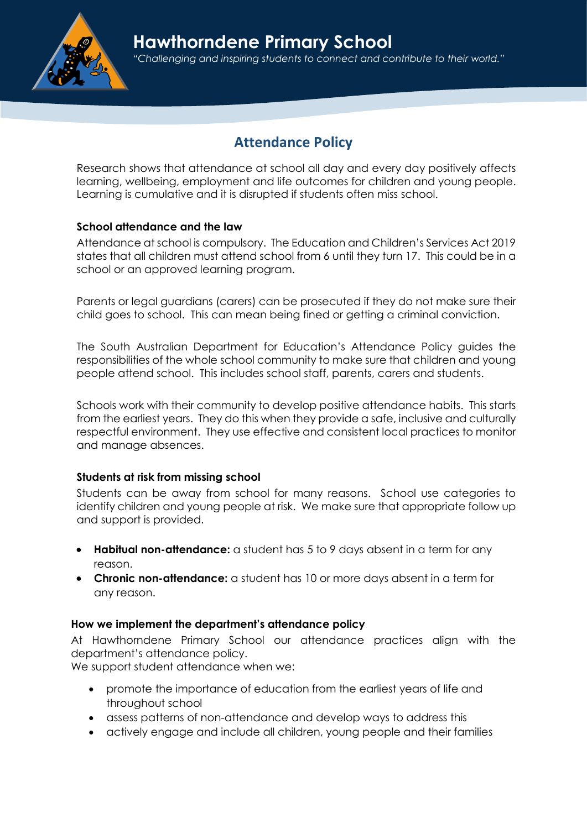# Attendance Policy

Research shows that attendance at school all day and every day positively affects learning, wellbeing, employment and life outcomes for children and young people. Learning is cumulative and it is disrupted if students often miss school.

# School attendance and the law

Attendance at school is compulsory. The Education and Children's Services Act 2019 states that all children must attend school from 6 until they turn 17. This could be in a school or an approved learning program.

Parents or legal guardians (carers) can be prosecuted if they do not make sure their child goes to school. This can mean being fined or getting a criminal conviction.

The South Australian Department for Education's Attendance Policy guides the responsibilities of the whole school community to make sure that children and young people attend school. This includes school staff, parents, carers and students.

Schools work with their community to develop positive attendance habits. This starts from the earliest years. They do this when they provide a safe, inclusive and culturally respectful environment. They use effective and consistent local practices to monitor and manage absences.

# Students at risk from missing school

Students can be away from school for many reasons. School use categories to identify children and young people at risk. We make sure that appropriate follow up and support is provided.

- Habitual non-attendance: a student has 5 to 9 days absent in a term for any reason.
- Chronic non-attendance: a student has 10 or more days absent in a term for any reason.

# How we implement the department's attendance policy

At Hawthorndene Primary School our attendance practices align with the department's attendance policy.

We support student attendance when we:

- promote the importance of education from the earliest years of life and throughout school
- assess patterns of non-attendance and develop ways to address this
- actively engage and include all children, young people and their families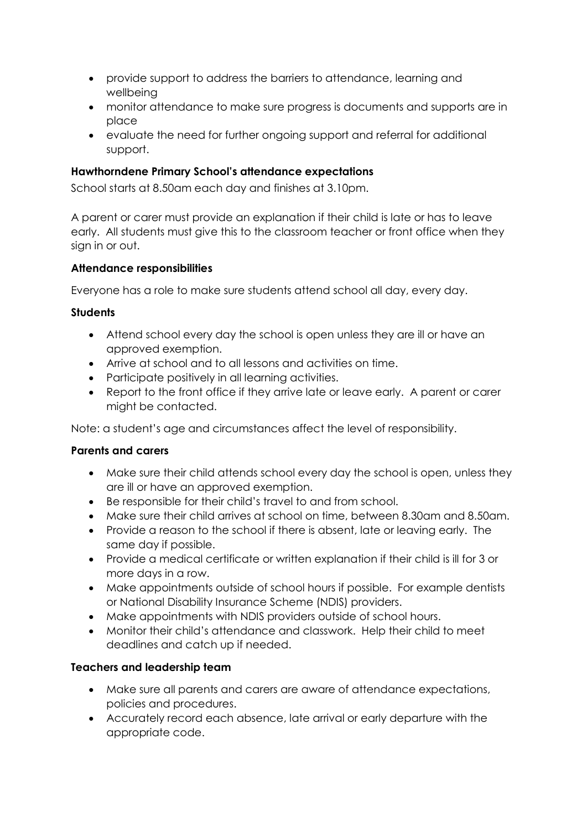- provide support to address the barriers to attendance, learning and wellbeing
- monitor attendance to make sure progress is documents and supports are in place
- evaluate the need for further ongoing support and referral for additional support.

## Hawthorndene Primary School's attendance expectations

School starts at 8.50am each day and finishes at 3.10pm.

A parent or carer must provide an explanation if their child is late or has to leave early. All students must give this to the classroom teacher or front office when they sian in or out.

## Attendance responsibilities

Everyone has a role to make sure students attend school all day, every day.

#### **Students**

- Attend school every day the school is open unless they are ill or have an approved exemption.
- Arrive at school and to all lessons and activities on time.
- Participate positively in all learning activities.
- Report to the front office if they arrive late or leave early. A parent or carer might be contacted.

Note: a student's age and circumstances affect the level of responsibility.

#### Parents and carers

- Make sure their child attends school every day the school is open, unless they are ill or have an approved exemption.
- Be responsible for their child's travel to and from school.
- Make sure their child arrives at school on time, between 8.30am and 8.50am.
- Provide a reason to the school if there is absent, late or leaving early. The same day if possible.
- Provide a medical certificate or written explanation if their child is ill for 3 or more days in a row.
- Make appointments outside of school hours if possible. For example dentists or National Disability Insurance Scheme (NDIS) providers.
- Make appointments with NDIS providers outside of school hours.
- Monitor their child's attendance and classwork. Help their child to meet deadlines and catch up if needed.

# Teachers and leadership team

- Make sure all parents and carers are aware of attendance expectations, policies and procedures.
- Accurately record each absence, late arrival or early departure with the appropriate code.